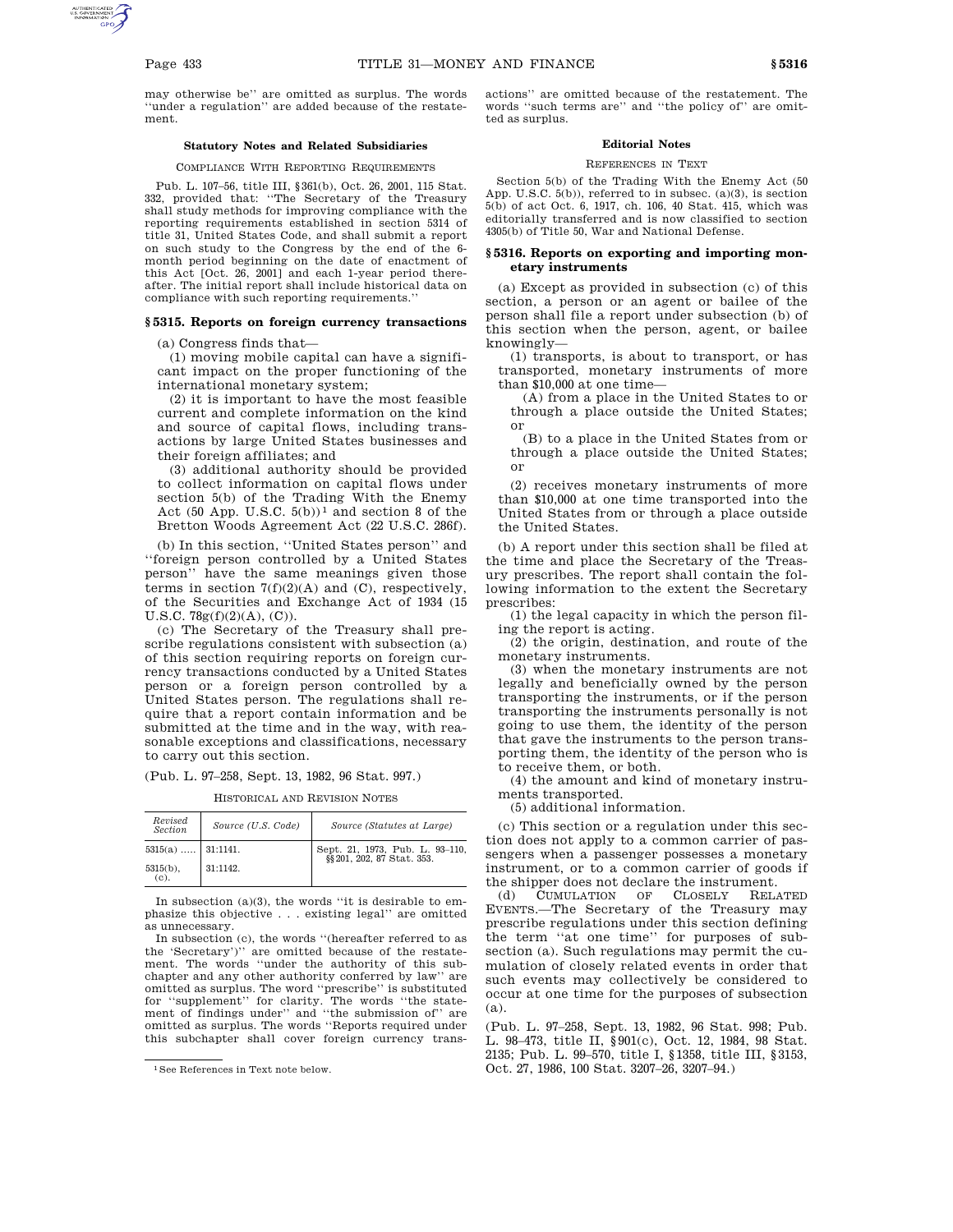may otherwise be'' are omitted as surplus. The words ''under a regulation'' are added because of the restatement.

# **Statutory Notes and Related Subsidiaries**

#### COMPLIANCE WITH REPORTING REQUIREMENTS

Pub. L. 107–56, title III, §361(b), Oct. 26, 2001, 115 Stat. 332, provided that: ''The Secretary of the Treasury shall study methods for improving compliance with the reporting requirements established in section 5314 of title 31, United States Code, and shall submit a report on such study to the Congress by the end of the 6 month period beginning on the date of enactment of this Act [Oct. 26, 2001] and each 1-year period thereafter. The initial report shall include historical data on compliance with such reporting requirements.''

#### **§ 5315. Reports on foreign currency transactions**

(a) Congress finds that—

(1) moving mobile capital can have a significant impact on the proper functioning of the international monetary system;

(2) it is important to have the most feasible current and complete information on the kind and source of capital flows, including transactions by large United States businesses and their foreign affiliates; and

(3) additional authority should be provided to collect information on capital flows under section 5(b) of the Trading With the Enemy Act  $(50$  App. U.S.C.  $5(b))^1$  and section 8 of the Bretton Woods Agreement Act (22 U.S.C. 286f).

(b) In this section, ''United States person'' and ''foreign person controlled by a United States person'' have the same meanings given those terms in section  $7(f)(2)(A)$  and  $(C)$ , respectively, of the Securities and Exchange Act of 1934 (15 U.S.C. 78g(f)(2)(A), (C)).

(c) The Secretary of the Treasury shall prescribe regulations consistent with subsection (a) of this section requiring reports on foreign currency transactions conducted by a United States person or a foreign person controlled by a United States person. The regulations shall require that a report contain information and be submitted at the time and in the way, with reasonable exceptions and classifications, necessary to carry out this section.

(Pub. L. 97–258, Sept. 13, 1982, 96 Stat. 997.)

HISTORICAL AND REVISION NOTES

| Revised<br><b>Section</b> | Source (U.S. Code) | Source (Statutes at Large)                                    |  |
|---------------------------|--------------------|---------------------------------------------------------------|--|
| $5315(a)$   31:1141.      |                    | Sept. 21, 1973, Pub. L. 93-110,<br>§§ 201, 202, 87 Stat. 353. |  |
| $5315(b)$ ,<br>(c).       | 31:1142.           |                                                               |  |

In subsection  $(a)(3)$ , the words "it is desirable to emphasize this objective . . . existing legal'' are omitted as unnecessary.

In subsection (c), the words ''(hereafter referred to as the 'Secretary')'' are omitted because of the restatement. The words ''under the authority of this subchapter and any other authority conferred by law'' are omitted as surplus. The word ''prescribe'' is substituted for ''supplement'' for clarity. The words ''the statement of findings under'' and ''the submission of'' are omitted as surplus. The words ''Reports required under this subchapter shall cover foreign currency transactions'' are omitted because of the restatement. The words ''such terms are'' and ''the policy of'' are omitted as surplus.

# **Editorial Notes**

#### REFERENCES IN TEXT

Section 5(b) of the Trading With the Enemy Act (50 App. U.S.C.  $5(b)$ , referred to in subsec. (a)(3), is section 5(b) of act Oct. 6, 1917, ch. 106, 40 Stat. 415, which was editorially transferred and is now classified to section 4305(b) of Title 50, War and National Defense.

# **§ 5316. Reports on exporting and importing monetary instruments**

(a) Except as provided in subsection (c) of this section, a person or an agent or bailee of the person shall file a report under subsection (b) of this section when the person, agent, or bailee knowingly—

(1) transports, is about to transport, or has transported, monetary instruments of more than \$10,000 at one time—

(A) from a place in the United States to or through a place outside the United States; or

(B) to a place in the United States from or through a place outside the United States; or

(2) receives monetary instruments of more than \$10,000 at one time transported into the United States from or through a place outside the United States.

(b) A report under this section shall be filed at the time and place the Secretary of the Treasury prescribes. The report shall contain the following information to the extent the Secretary prescribes:

(1) the legal capacity in which the person filing the report is acting.

(2) the origin, destination, and route of the monetary instruments.

(3) when the monetary instruments are not legally and beneficially owned by the person transporting the instruments, or if the person transporting the instruments personally is not going to use them, the identity of the person that gave the instruments to the person transporting them, the identity of the person who is to receive them, or both.

(4) the amount and kind of monetary instruments transported.

(5) additional information.

(c) This section or a regulation under this section does not apply to a common carrier of passengers when a passenger possesses a monetary instrument, or to a common carrier of goods if

the shipper does not declare the instrument.<br>(d) CUMULATION OF CLOSELY RELATED CUMULATION EVENTS.—The Secretary of the Treasury may prescribe regulations under this section defining the term ''at one time'' for purposes of subsection (a). Such regulations may permit the cumulation of closely related events in order that such events may collectively be considered to occur at one time for the purposes of subsection (a).

(Pub. L. 97–258, Sept. 13, 1982, 96 Stat. 998; Pub. L. 98–473, title II, §901(c), Oct. 12, 1984, 98 Stat. 2135; Pub. L. 99–570, title I, §1358, title III, §3153, Oct. 27, 1986, 100 Stat. 3207–26, 3207–94.)

<sup>1</sup>See References in Text note below.